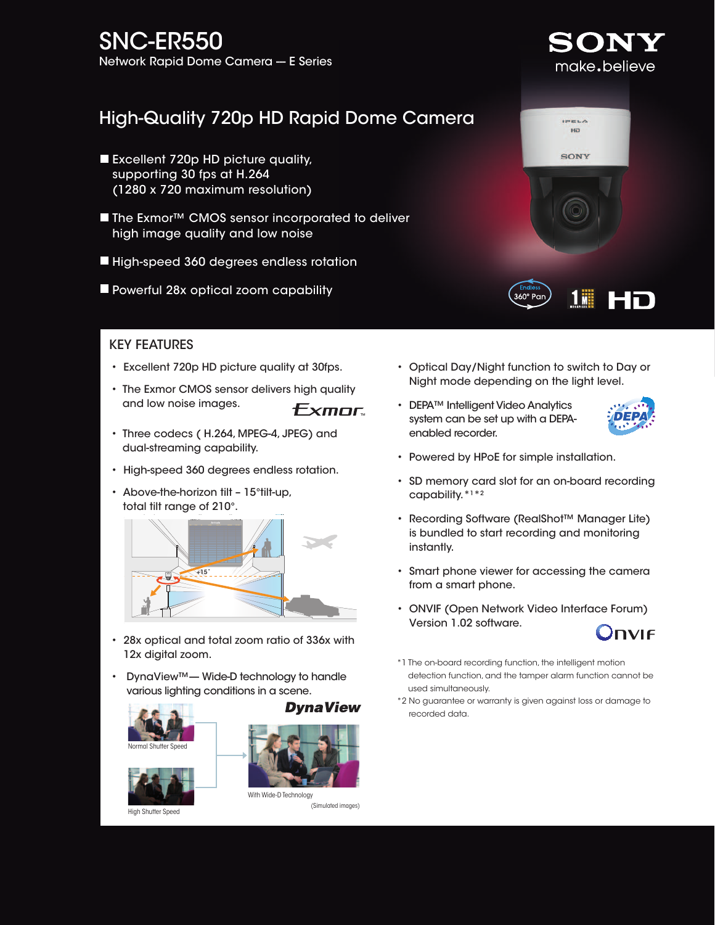## SNC-ER550 Network Rapid Dome Camera -- E Series

## High-Quality 720p HD Rapid Dome Camera

- Excellent 720p HD picture quality, supporting 30 fps at H.264 (1280 x 720 maximum resolution)
- The Exmor<sup>™</sup> CMOS sensor incorporated to deliver high image quality and low noise
- High-speed 360 degrees endless rotation
- **Powerful 28x optical zoom capability**



XON

make.believe

## KEY FEATURES

- Excellent 720p HD picture quality at 30fps.
- The Exmor CMOS sensor delivers high quality and low noise images.

*Exmor* 

- Three codecs ( H.264, MPEG-4, JPEG) and dual-streaming capability.
- High-speed 360 degrees endless rotation.
- Above-the-horizon tilt 15°tilt-up, total tilt range of 210°.



- 28x optical and total zoom ratio of 336x with 12x digital zoom.
- DynaView™— Wide-D technology to handle various lighting conditions in a scene.







(Simulated images)

- Optical Day/Night function to switch to Day or Night mode depending on the light level.
- DEPA™ Intelligent Video Analytics system can be set up with a DEPAenabled recorder.



- Powered by HPoE for simple installation.
- SD memory card slot for an on-board recording capability.\*<sup>1</sup>\*<sup>2</sup>
- Recording Software (RealShot™ Manager Lite) is bundled to start recording and monitoring instantly.
- Smart phone viewer for accessing the camera from a smart phone.
- ONVIF (Open Network Video Interface Forum) Version 1.02 software. JNVIF
- \*1 The on-board recording function, the intelligent motion detection function, and the tamper alarm function cannot be used simultaneously.
- \*2 No guarantee or warranty is given against loss or damage to recorded data.